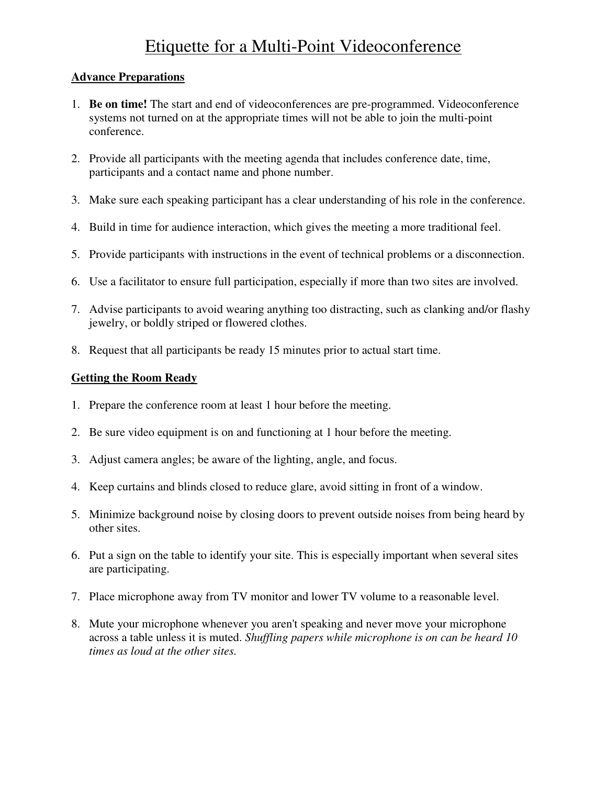# Etiquette for a Multi-Point Videoconference

#### **Advance Preparations**

- 1. **Be on time!** The start and end of videoconferences are pre-programmed. Videoconference systems not turned on at the appropriate times will not be able to join the multi-point conference.
- 2. Provide all participants with the meeting agenda that includes conference date, time, participants and a contact name and phone number.
- 3. Make sure each speaking participant has a clear understanding of his role in the conference.
- 4. Build in time for audience interaction, which gives the meeting a more traditional feel.
- 5. Provide participants with instructions in the event of technical problems or a disconnection.
- 6. Use a facilitator to ensure full participation, especially if more than two sites are involved.
- 7. Advise participants to avoid wearing anything too distracting, such as clanking and/or flashy jewelry, or boldly striped or flowered clothes.
- 8. Request that all participants be ready 15 minutes prior to actual start time.

### **Getting the Room Ready**

- 1. Prepare the conference room at least 1 hour before the meeting.
- 2. Be sure video equipment is on and functioning at 1 hour before the meeting.
- 3. Adjust camera angles; be aware of the lighting, angle, and focus.
- 4. Keep curtains and blinds closed to reduce glare, avoid sitting in front of a window.
- 5. Minimize background noise by closing doors to prevent outside noises from being heard by other sites.
- 6. Put a sign on the table to identify your site. This is especially important when several sites are participating.
- 7. Place microphone away from TV monitor and lower TV volume to a reasonable level.
- 8. Mute your microphone whenever you aren't speaking and never move your microphone across a table unless it is muted. *Shuffling papers while microphone is on can be heard 10 times as loud at the other sites.*